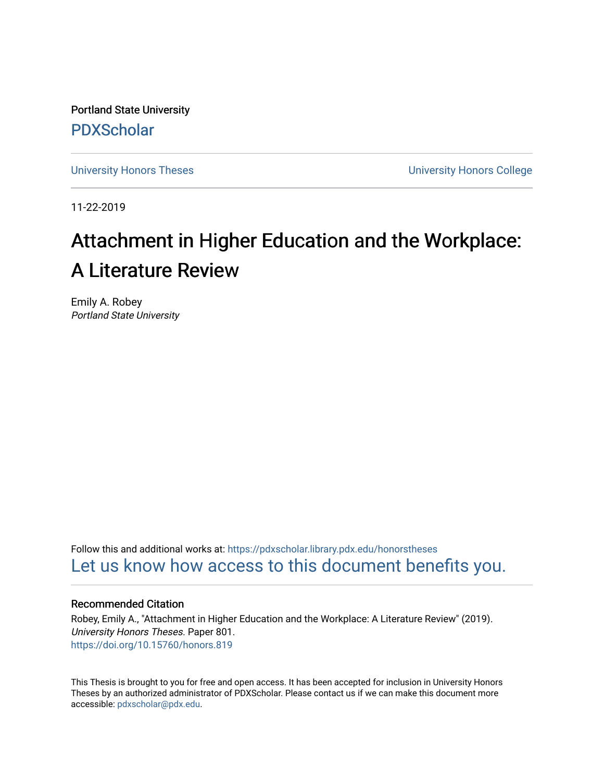Portland State University [PDXScholar](https://pdxscholar.library.pdx.edu/)

[University Honors Theses](https://pdxscholar.library.pdx.edu/honorstheses) [University Honors College](https://pdxscholar.library.pdx.edu/honors) 

11-22-2019

# Attachment in Higher Education and the Workplace: A Literature Review

Emily A. Robey Portland State University

Follow this and additional works at: [https://pdxscholar.library.pdx.edu/honorstheses](https://pdxscholar.library.pdx.edu/honorstheses?utm_source=pdxscholar.library.pdx.edu%2Fhonorstheses%2F801&utm_medium=PDF&utm_campaign=PDFCoverPages)  [Let us know how access to this document benefits you.](http://library.pdx.edu/services/pdxscholar-services/pdxscholar-feedback/) 

### Recommended Citation

Robey, Emily A., "Attachment in Higher Education and the Workplace: A Literature Review" (2019). University Honors Theses. Paper 801. <https://doi.org/10.15760/honors.819>

This Thesis is brought to you for free and open access. It has been accepted for inclusion in University Honors Theses by an authorized administrator of PDXScholar. Please contact us if we can make this document more accessible: [pdxscholar@pdx.edu.](mailto:pdxscholar@pdx.edu)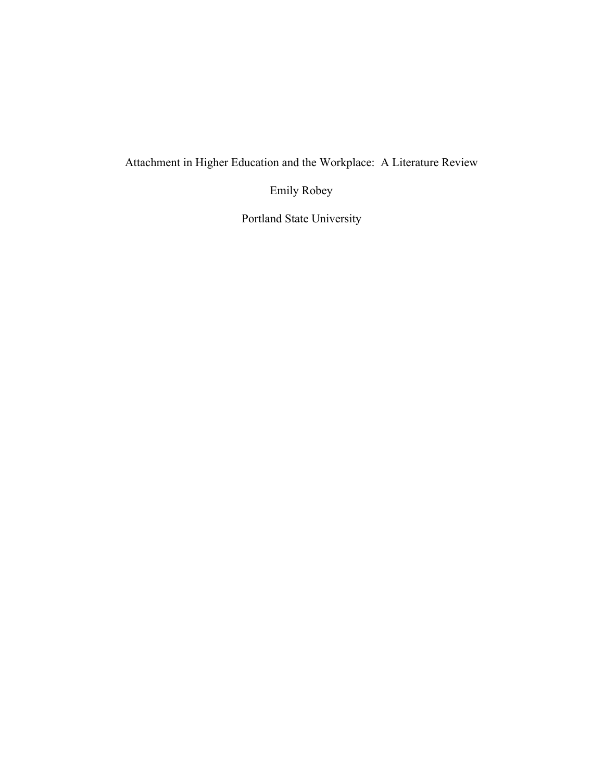Attachment in Higher Education and the Workplace: A Literature Review

Emily Robey

Portland State University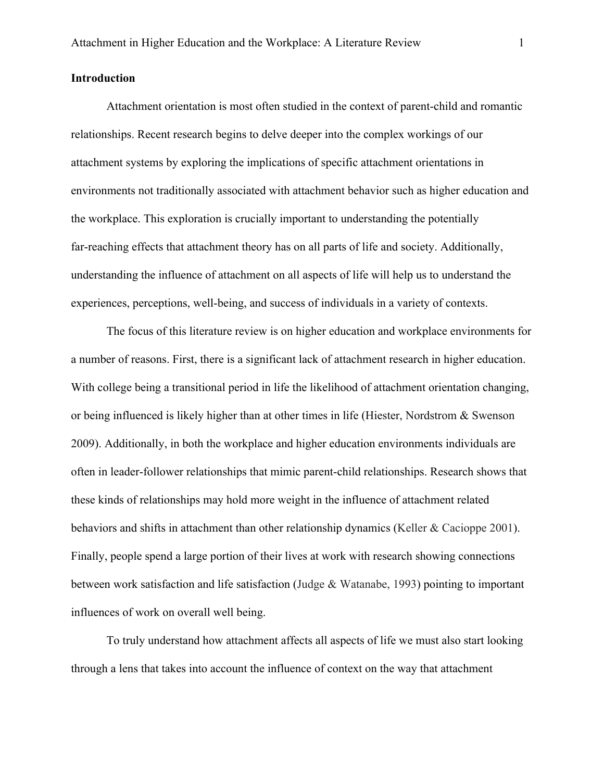# **Introduction**

Attachment orientation is most often studied in the context of parent-child and romantic relationships. Recent research begins to delve deeper into the complex workings of our attachment systems by exploring the implications of specific attachment orientations in environments not traditionally associated with attachment behavior such as higher education and the workplace. This exploration is crucially important to understanding the potentially far-reaching effects that attachment theory has on all parts of life and society. Additionally, understanding the influence of attachment on all aspects of life will help us to understand the experiences, perceptions, well-being, and success of individuals in a variety of contexts.

The focus of this literature review is on higher education and workplace environments for a number of reasons. First, there is a significant lack of attachment research in higher education. With college being a transitional period in life the likelihood of attachment orientation changing, or being influenced is likely higher than at other times in life (Hiester, Nordstrom & Swenson 2009). Additionally, in both the workplace and higher education environments individuals are often in leader-follower relationships that mimic parent-child relationships. Research shows that these kinds of relationships may hold more weight in the influence of attachment related behaviors and shifts in attachment than other relationship dynamics (Keller & Cacioppe 2001). Finally, people spend a large portion of their lives at work with research showing connections between work satisfaction and life satisfaction (Judge & Watanabe, 1993) pointing to important influences of work on overall well being.

To truly understand how attachment affects all aspects of life we must also start looking through a lens that takes into account the influence of context on the way that attachment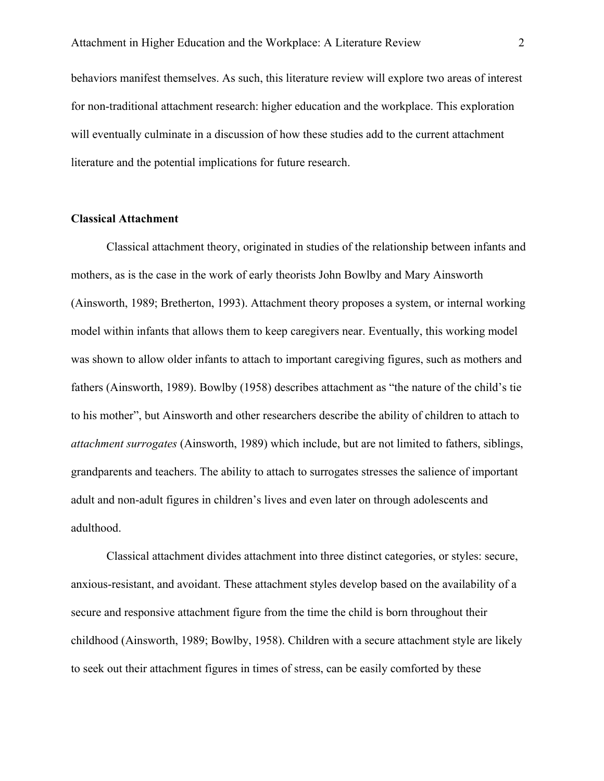behaviors manifest themselves. As such, this literature review will explore two areas of interest for non-traditional attachment research: higher education and the workplace. This exploration will eventually culminate in a discussion of how these studies add to the current attachment literature and the potential implications for future research.

#### **Classical Attachment**

Classical attachment theory, originated in studies of the relationship between infants and mothers, as is the case in the work of early theorists John Bowlby and Mary Ainsworth (Ainsworth, 1989; Bretherton, 1993). Attachment theory proposes a system, or internal working model within infants that allows them to keep caregivers near. Eventually, this working model was shown to allow older infants to attach to important caregiving figures, such as mothers and fathers (Ainsworth, 1989). Bowlby (1958) describes attachment as "the nature of the child's tie to his mother", but Ainsworth and other researchers describe the ability of children to attach to *attachment surrogates* (Ainsworth, 1989) which include, but are not limited to fathers, siblings, grandparents and teachers. The ability to attach to surrogates stresses the salience of important adult and non-adult figures in children's lives and even later on through adolescents and adulthood.

Classical attachment divides attachment into three distinct categories, or styles: secure, anxious-resistant, and avoidant. These attachment styles develop based on the availability of a secure and responsive attachment figure from the time the child is born throughout their childhood (Ainsworth, 1989; Bowlby, 1958). Children with a secure attachment style are likely to seek out their attachment figures in times of stress, can be easily comforted by these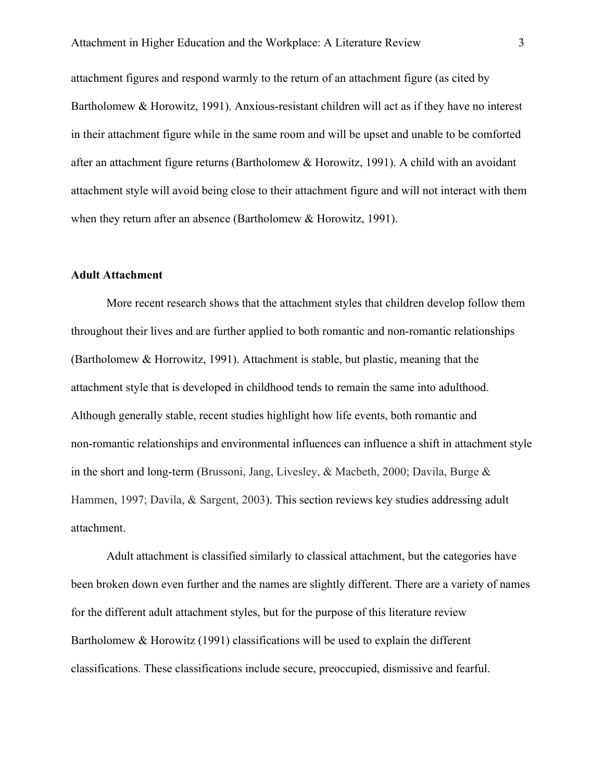attachment figures and respond warmly to the return of an attachment figure (as cited by Bartholomew & Horowitz, 1991). Anxious-resistant children will act as if they have no interest in their attachment figure while in the same room and will be upset and unable to be comforted after an attachment figure returns (Bartholomew & Horowitz, 1991). A child with an avoidant attachment style will avoid being close to their attachment figure and will not interact with them when they return after an absence (Bartholomew & Horowitz, 1991).

#### **Adult Attachment**

More recent research shows that the attachment styles that children develop follow them throughout their lives and are further applied to both romantic and non-romantic relationships (Bartholomew & Horrowitz, 1991). Attachment is stable, but plastic, meaning that the attachment style that is developed in childhood tends to remain the same into adulthood. Although generally stable, recent studies highlight how life events, both romantic and non-romantic relationships and environmental influences can influence a shift in attachment style in the short and long-term (Brussoni, Jang, Livesley, & Macbeth, 2000; Davila, Burge & Hammen, 1997; Davila, & Sargent, 2003). This section reviews key studies addressing adult attachment.

Adult attachment is classified similarly to classical attachment, but the categories have been broken down even further and the names are slightly different. There are a variety of names for the different adult attachment styles, but for the purpose of this literature review Bartholomew & Horowitz (1991) classifications will be used to explain the different classifications. These classifications include secure, preoccupied, dismissive and fearful.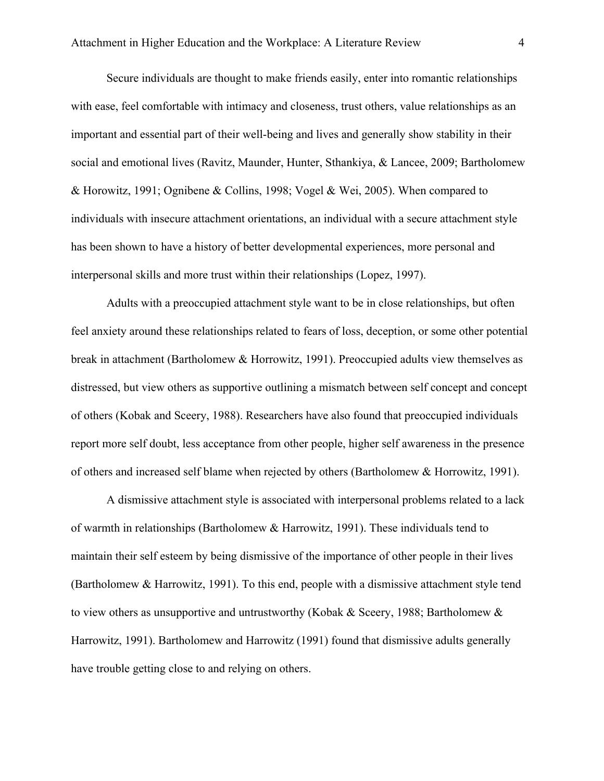Secure individuals are thought to make friends easily, enter into romantic relationships with ease, feel comfortable with intimacy and closeness, trust others, value relationships as an important and essential part of their well-being and lives and generally show stability in their social and emotional lives (Ravitz, Maunder, Hunter, Sthankiya, & Lancee, 2009; Bartholomew & Horowitz, 1991; Ognibene & Collins, 1998; Vogel & Wei, 2005). When compared to individuals with insecure attachment orientations, an individual with a secure attachment style has been shown to have a history of better developmental experiences, more personal and interpersonal skills and more trust within their relationships (Lopez, 1997).

Adults with a preoccupied attachment style want to be in close relationships, but often feel anxiety around these relationships related to fears of loss, deception, or some other potential break in attachment (Bartholomew & Horrowitz, 1991). Preoccupied adults view themselves as distressed, but view others as supportive outlining a mismatch between self concept and concept of others (Kobak and Sceery, 1988). Researchers have also found that preoccupied individuals report more self doubt, less acceptance from other people, higher self awareness in the presence of others and increased self blame when rejected by others (Bartholomew & Horrowitz, 1991).

A dismissive attachment style is associated with interpersonal problems related to a lack of warmth in relationships (Bartholomew & Harrowitz, 1991). These individuals tend to maintain their self esteem by being dismissive of the importance of other people in their lives (Bartholomew & Harrowitz, 1991). To this end, people with a dismissive attachment style tend to view others as unsupportive and untrustworthy (Kobak & Sceery, 1988; Bartholomew & Harrowitz, 1991). Bartholomew and Harrowitz (1991) found that dismissive adults generally have trouble getting close to and relying on others.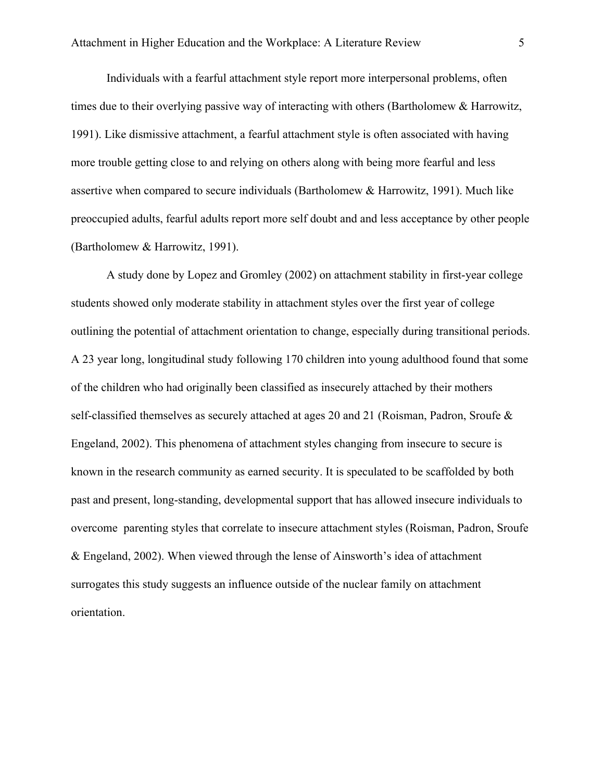Individuals with a fearful attachment style report more interpersonal problems, often times due to their overlying passive way of interacting with others (Bartholomew & Harrowitz, 1991). Like dismissive attachment, a fearful attachment style is often associated with having more trouble getting close to and relying on others along with being more fearful and less assertive when compared to secure individuals (Bartholomew & Harrowitz, 1991). Much like preoccupied adults, fearful adults report more self doubt and and less acceptance by other people (Bartholomew & Harrowitz, 1991).

A study done by Lopez and Gromley (2002) on attachment stability in first-year college students showed only moderate stability in attachment styles over the first year of college outlining the potential of attachment orientation to change, especially during transitional periods. A 23 year long, longitudinal study following 170 children into young adulthood found that some of the children who had originally been classified as insecurely attached by their mothers self-classified themselves as securely attached at ages 20 and 21 (Roisman, Padron, Sroufe & Engeland, 2002). This phenomena of attachment styles changing from insecure to secure is known in the research community as earned security. It is speculated to be scaffolded by both past and present, long-standing, developmental support that has allowed insecure individuals to overcome parenting styles that correlate to insecure attachment styles (Roisman, Padron, Sroufe & Engeland, 2002). When viewed through the lense of Ainsworth's idea of attachment surrogates this study suggests an influence outside of the nuclear family on attachment orientation.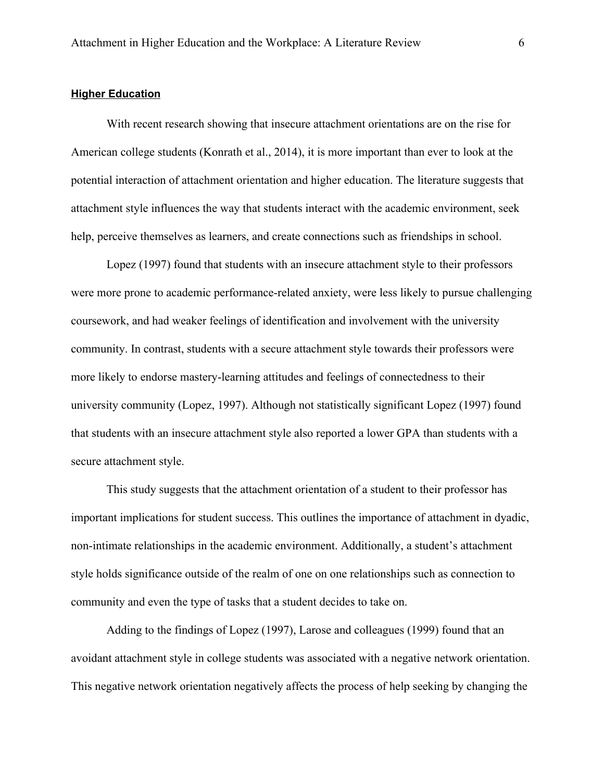#### **Higher Education**

With recent research showing that insecure attachment orientations are on the rise for American college students (Konrath et al., 2014), it is more important than ever to look at the potential interaction of attachment orientation and higher education. The literature suggests that attachment style influences the way that students interact with the academic environment, seek help, perceive themselves as learners, and create connections such as friendships in school.

Lopez (1997) found that students with an insecure attachment style to their professors were more prone to academic performance-related anxiety, were less likely to pursue challenging coursework, and had weaker feelings of identification and involvement with the university community. In contrast, students with a secure attachment style towards their professors were more likely to endorse mastery-learning attitudes and feelings of connectedness to their university community (Lopez, 1997). Although not statistically significant Lopez (1997) found that students with an insecure attachment style also reported a lower GPA than students with a secure attachment style.

This study suggests that the attachment orientation of a student to their professor has important implications for student success. This outlines the importance of attachment in dyadic, non-intimate relationships in the academic environment. Additionally, a student's attachment style holds significance outside of the realm of one on one relationships such as connection to community and even the type of tasks that a student decides to take on.

Adding to the findings of Lopez (1997), Larose and colleagues (1999) found that an avoidant attachment style in college students was associated with a negative network orientation. This negative network orientation negatively affects the process of help seeking by changing the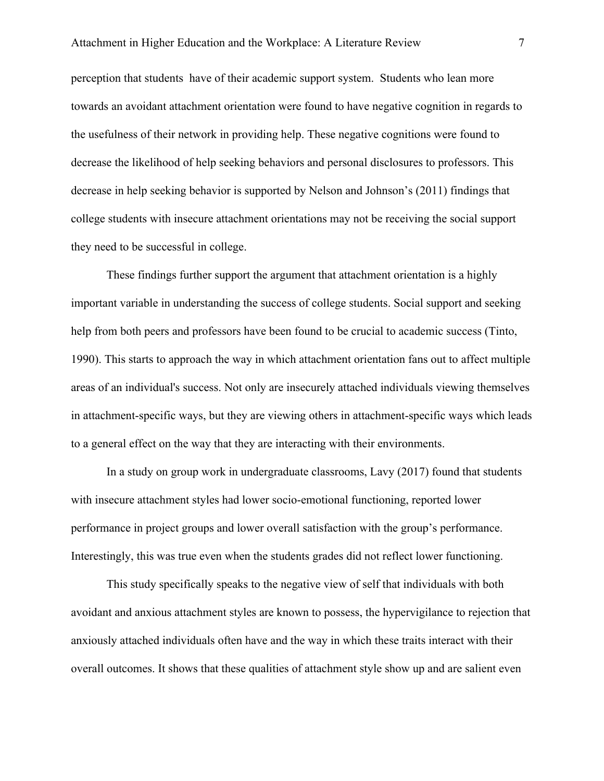perception that students have of their academic support system. Students who lean more towards an avoidant attachment orientation were found to have negative cognition in regards to the usefulness of their network in providing help. These negative cognitions were found to decrease the likelihood of help seeking behaviors and personal disclosures to professors. This decrease in help seeking behavior is supported by Nelson and Johnson's (2011) findings that college students with insecure attachment orientations may not be receiving the social support they need to be successful in college.

These findings further support the argument that attachment orientation is a highly important variable in understanding the success of college students. Social support and seeking help from both peers and professors have been found to be crucial to academic success (Tinto, 1990). This starts to approach the way in which attachment orientation fans out to affect multiple areas of an individual's success. Not only are insecurely attached individuals viewing themselves in attachment-specific ways, but they are viewing others in attachment-specific ways which leads to a general effect on the way that they are interacting with their environments.

In a study on group work in undergraduate classrooms, Lavy (2017) found that students with insecure attachment styles had lower socio-emotional functioning, reported lower performance in project groups and lower overall satisfaction with the group's performance. Interestingly, this was true even when the students grades did not reflect lower functioning.

This study specifically speaks to the negative view of self that individuals with both avoidant and anxious attachment styles are known to possess, the hypervigilance to rejection that anxiously attached individuals often have and the way in which these traits interact with their overall outcomes. It shows that these qualities of attachment style show up and are salient even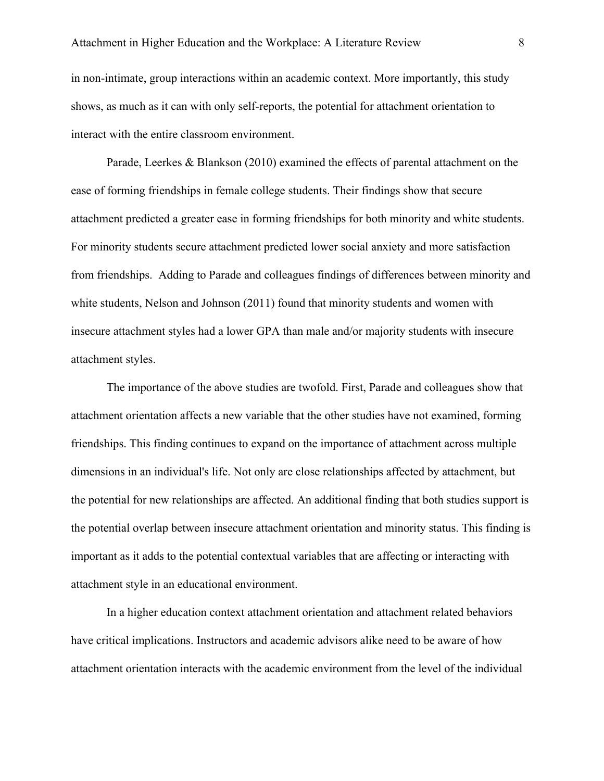in non-intimate, group interactions within an academic context. More importantly, this study shows, as much as it can with only self-reports, the potential for attachment orientation to interact with the entire classroom environment.

Parade, Leerkes & Blankson (2010) examined the effects of parental attachment on the ease of forming friendships in female college students. Their findings show that secure attachment predicted a greater ease in forming friendships for both minority and white students. For minority students secure attachment predicted lower social anxiety and more satisfaction from friendships. Adding to Parade and colleagues findings of differences between minority and white students, Nelson and Johnson (2011) found that minority students and women with insecure attachment styles had a lower GPA than male and/or majority students with insecure attachment styles.

The importance of the above studies are twofold. First, Parade and colleagues show that attachment orientation affects a new variable that the other studies have not examined, forming friendships. This finding continues to expand on the importance of attachment across multiple dimensions in an individual's life. Not only are close relationships affected by attachment, but the potential for new relationships are affected. An additional finding that both studies support is the potential overlap between insecure attachment orientation and minority status. This finding is important as it adds to the potential contextual variables that are affecting or interacting with attachment style in an educational environment.

In a higher education context attachment orientation and attachment related behaviors have critical implications. Instructors and academic advisors alike need to be aware of how attachment orientation interacts with the academic environment from the level of the individual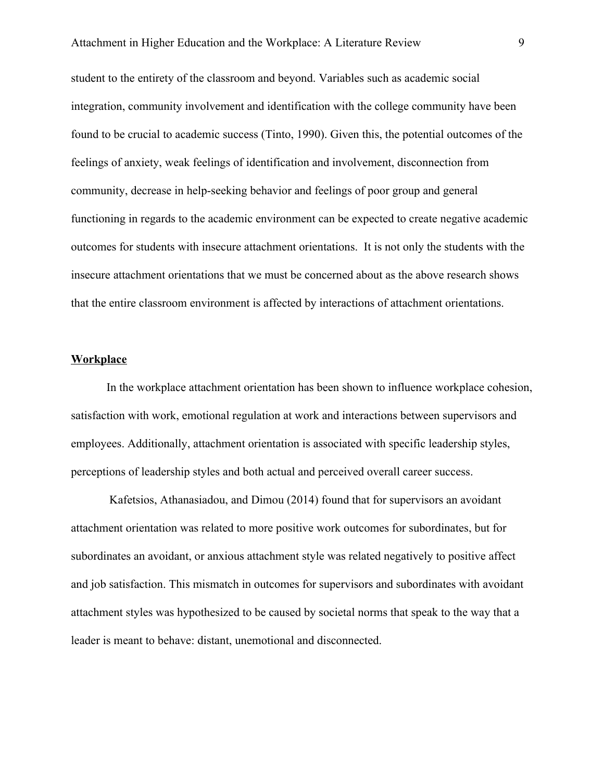student to the entirety of the classroom and beyond. Variables such as academic social integration, community involvement and identification with the college community have been found to be crucial to academic success (Tinto, 1990). Given this, the potential outcomes of the feelings of anxiety, weak feelings of identification and involvement, disconnection from community, decrease in help-seeking behavior and feelings of poor group and general functioning in regards to the academic environment can be expected to create negative academic outcomes for students with insecure attachment orientations. It is not only the students with the insecure attachment orientations that we must be concerned about as the above research shows that the entire classroom environment is affected by interactions of attachment orientations.

#### **Workplace**

In the workplace attachment orientation has been shown to influence workplace cohesion, satisfaction with work, emotional regulation at work and interactions between supervisors and employees. Additionally, attachment orientation is associated with specific leadership styles, perceptions of leadership styles and both actual and perceived overall career success.

 Kafetsios, Athanasiadou, and Dimou (2014) found that for supervisors an avoidant attachment orientation was related to more positive work outcomes for subordinates, but for subordinates an avoidant, or anxious attachment style was related negatively to positive affect and job satisfaction. This mismatch in outcomes for supervisors and subordinates with avoidant attachment styles was hypothesized to be caused by societal norms that speak to the way that a leader is meant to behave: distant, unemotional and disconnected.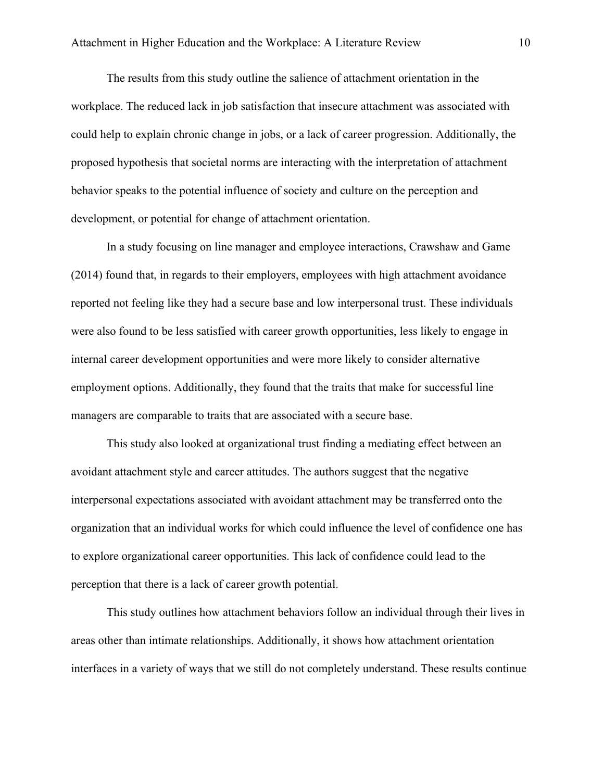The results from this study outline the salience of attachment orientation in the workplace. The reduced lack in job satisfaction that insecure attachment was associated with could help to explain chronic change in jobs, or a lack of career progression. Additionally, the proposed hypothesis that societal norms are interacting with the interpretation of attachment behavior speaks to the potential influence of society and culture on the perception and development, or potential for change of attachment orientation.

In a study focusing on line manager and employee interactions, Crawshaw and Game (2014) found that, in regards to their employers, employees with high attachment avoidance reported not feeling like they had a secure base and low interpersonal trust. These individuals were also found to be less satisfied with career growth opportunities, less likely to engage in internal career development opportunities and were more likely to consider alternative employment options. Additionally, they found that the traits that make for successful line managers are comparable to traits that are associated with a secure base.

This study also looked at organizational trust finding a mediating effect between an avoidant attachment style and career attitudes. The authors suggest that the negative interpersonal expectations associated with avoidant attachment may be transferred onto the organization that an individual works for which could influence the level of confidence one has to explore organizational career opportunities. This lack of confidence could lead to the perception that there is a lack of career growth potential.

This study outlines how attachment behaviors follow an individual through their lives in areas other than intimate relationships. Additionally, it shows how attachment orientation interfaces in a variety of ways that we still do not completely understand. These results continue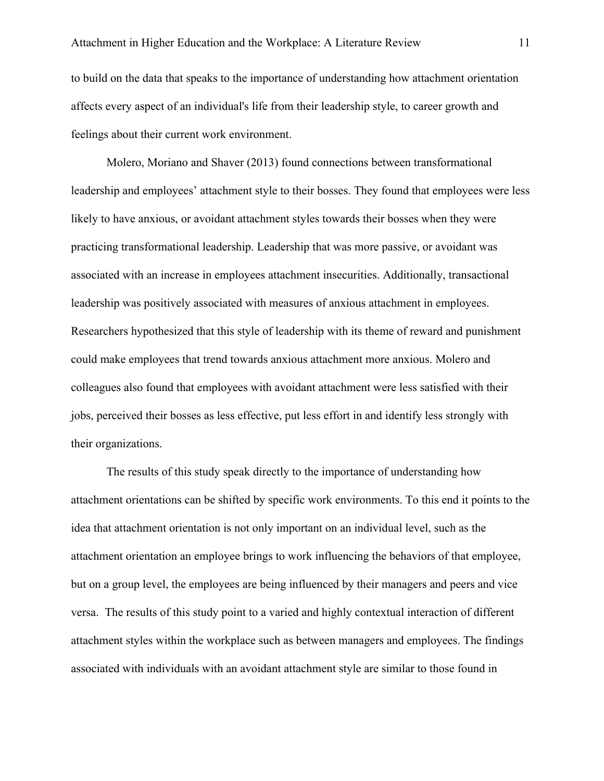to build on the data that speaks to the importance of understanding how attachment orientation affects every aspect of an individual's life from their leadership style, to career growth and feelings about their current work environment.

Molero, Moriano and Shaver (2013) found connections between transformational leadership and employees' attachment style to their bosses. They found that employees were less likely to have anxious, or avoidant attachment styles towards their bosses when they were practicing transformational leadership. Leadership that was more passive, or avoidant was associated with an increase in employees attachment insecurities. Additionally, transactional leadership was positively associated with measures of anxious attachment in employees. Researchers hypothesized that this style of leadership with its theme of reward and punishment could make employees that trend towards anxious attachment more anxious. Molero and colleagues also found that employees with avoidant attachment were less satisfied with their jobs, perceived their bosses as less effective, put less effort in and identify less strongly with their organizations.

The results of this study speak directly to the importance of understanding how attachment orientations can be shifted by specific work environments. To this end it points to the idea that attachment orientation is not only important on an individual level, such as the attachment orientation an employee brings to work influencing the behaviors of that employee, but on a group level, the employees are being influenced by their managers and peers and vice versa. The results of this study point to a varied and highly contextual interaction of different attachment styles within the workplace such as between managers and employees. The findings associated with individuals with an avoidant attachment style are similar to those found in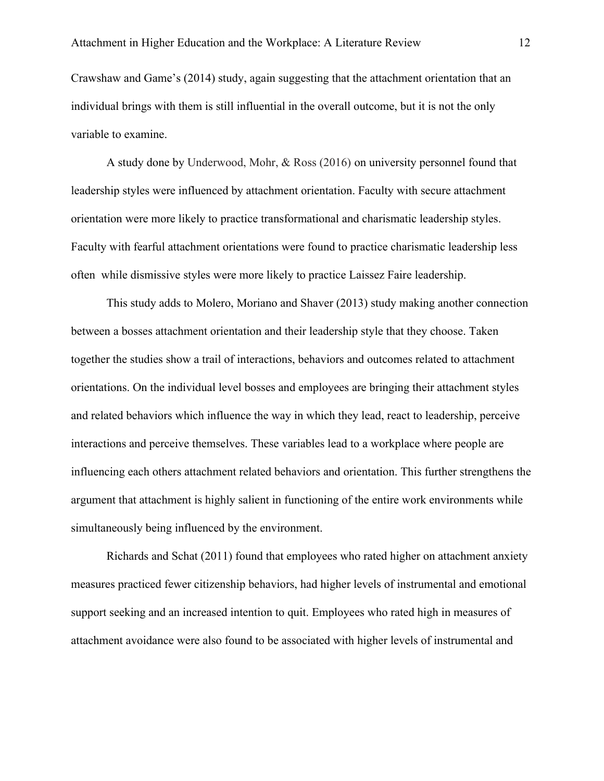Crawshaw and Game's (2014) study, again suggesting that the attachment orientation that an individual brings with them is still influential in the overall outcome, but it is not the only variable to examine.

A study done by Underwood, Mohr, & Ross (2016) on university personnel found that leadership styles were influenced by attachment orientation. Faculty with secure attachment orientation were more likely to practice transformational and charismatic leadership styles. Faculty with fearful attachment orientations were found to practice charismatic leadership less often while dismissive styles were more likely to practice Laissez Faire leadership.

This study adds to Molero, Moriano and Shaver (2013) study making another connection between a bosses attachment orientation and their leadership style that they choose. Taken together the studies show a trail of interactions, behaviors and outcomes related to attachment orientations. On the individual level bosses and employees are bringing their attachment styles and related behaviors which influence the way in which they lead, react to leadership, perceive interactions and perceive themselves. These variables lead to a workplace where people are influencing each others attachment related behaviors and orientation. This further strengthens the argument that attachment is highly salient in functioning of the entire work environments while simultaneously being influenced by the environment.

Richards and Schat (2011) found that employees who rated higher on attachment anxiety measures practiced fewer citizenship behaviors, had higher levels of instrumental and emotional support seeking and an increased intention to quit. Employees who rated high in measures of attachment avoidance were also found to be associated with higher levels of instrumental and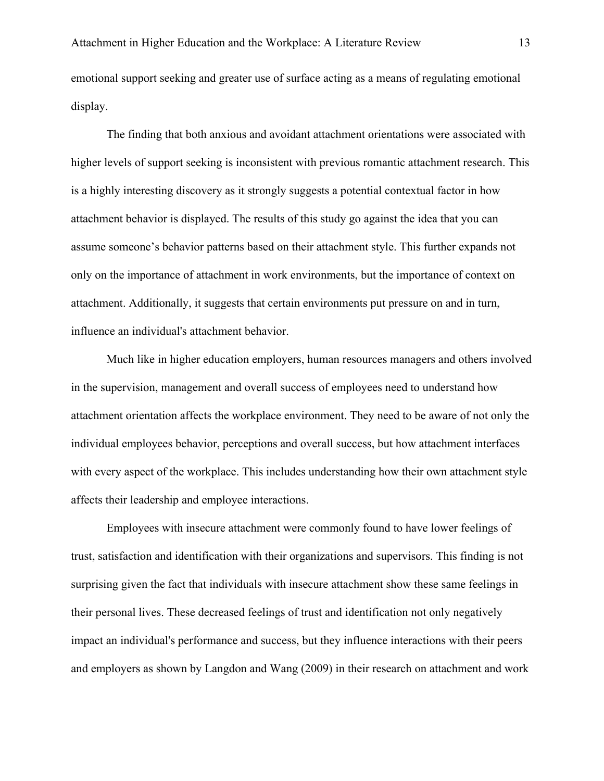emotional support seeking and greater use of surface acting as a means of regulating emotional display.

The finding that both anxious and avoidant attachment orientations were associated with higher levels of support seeking is inconsistent with previous romantic attachment research. This is a highly interesting discovery as it strongly suggests a potential contextual factor in how attachment behavior is displayed. The results of this study go against the idea that you can assume someone's behavior patterns based on their attachment style. This further expands not only on the importance of attachment in work environments, but the importance of context on attachment. Additionally, it suggests that certain environments put pressure on and in turn, influence an individual's attachment behavior.

Much like in higher education employers, human resources managers and others involved in the supervision, management and overall success of employees need to understand how attachment orientation affects the workplace environment. They need to be aware of not only the individual employees behavior, perceptions and overall success, but how attachment interfaces with every aspect of the workplace. This includes understanding how their own attachment style affects their leadership and employee interactions.

Employees with insecure attachment were commonly found to have lower feelings of trust, satisfaction and identification with their organizations and supervisors. This finding is not surprising given the fact that individuals with insecure attachment show these same feelings in their personal lives. These decreased feelings of trust and identification not only negatively impact an individual's performance and success, but they influence interactions with their peers and employers as shown by Langdon and Wang (2009) in their research on attachment and work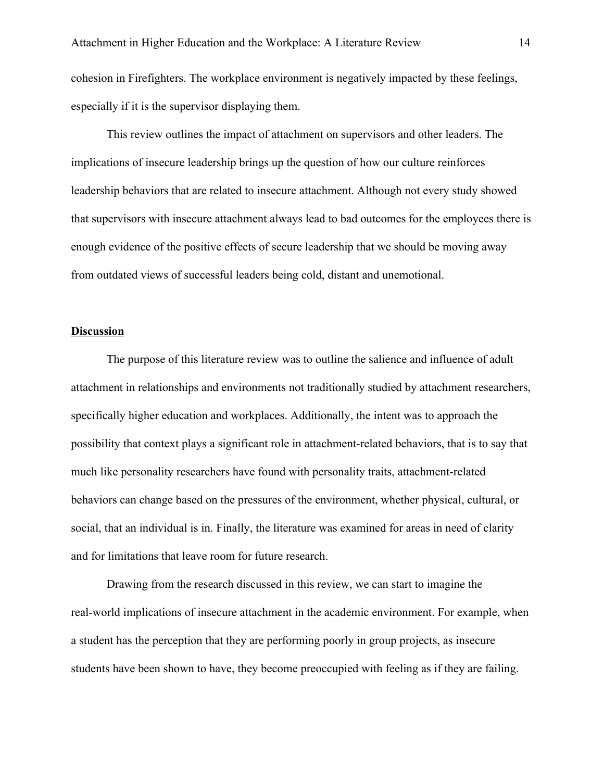cohesion in Firefighters. The workplace environment is negatively impacted by these feelings, especially if it is the supervisor displaying them.

This review outlines the impact of attachment on supervisors and other leaders. The implications of insecure leadership brings up the question of how our culture reinforces leadership behaviors that are related to insecure attachment. Although not every study showed that supervisors with insecure attachment always lead to bad outcomes for the employees there is enough evidence of the positive effects of secure leadership that we should be moving away from outdated views of successful leaders being cold, distant and unemotional.

# **Discussion**

The purpose of this literature review was to outline the salience and influence of adult attachment in relationships and environments not traditionally studied by attachment researchers, specifically higher education and workplaces. Additionally, the intent was to approach the possibility that context plays a significant role in attachment-related behaviors, that is to say that much like personality researchers have found with personality traits, attachment-related behaviors can change based on the pressures of the environment, whether physical, cultural, or social, that an individual is in. Finally, the literature was examined for areas in need of clarity and for limitations that leave room for future research.

Drawing from the research discussed in this review, we can start to imagine the real-world implications of insecure attachment in the academic environment. For example, when a student has the perception that they are performing poorly in group projects, as insecure students have been shown to have, they become preoccupied with feeling as if they are failing.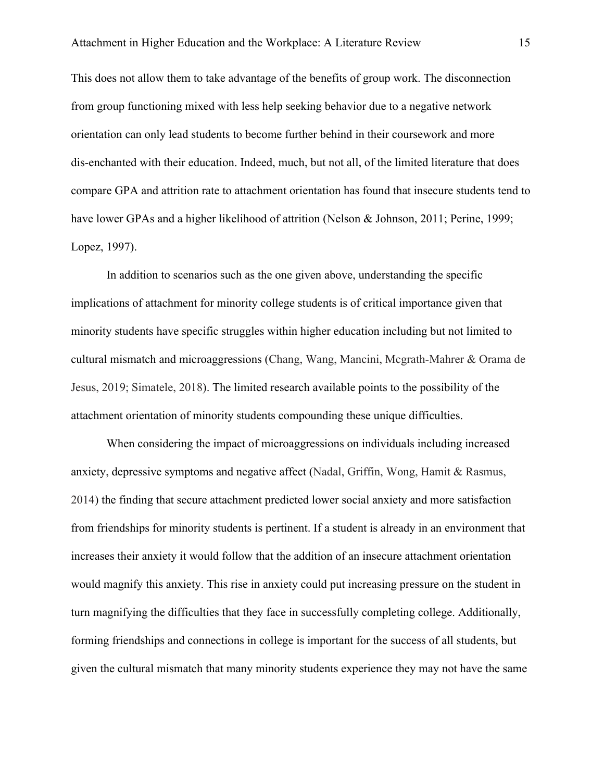This does not allow them to take advantage of the benefits of group work. The disconnection from group functioning mixed with less help seeking behavior due to a negative network orientation can only lead students to become further behind in their coursework and more dis-enchanted with their education. Indeed, much, but not all, of the limited literature that does compare GPA and attrition rate to attachment orientation has found that insecure students tend to have lower GPAs and a higher likelihood of attrition (Nelson & Johnson, 2011; Perine, 1999; Lopez, 1997).

In addition to scenarios such as the one given above, understanding the specific implications of attachment for minority college students is of critical importance given that minority students have specific struggles within higher education including but not limited to cultural mismatch and microaggressions (Chang, Wang, Mancini, Mcgrath-Mahrer & Orama de Jesus, 2019; Simatele, 2018). The limited research available points to the possibility of the attachment orientation of minority students compounding these unique difficulties.

When considering the impact of microaggressions on individuals including increased anxiety, depressive symptoms and negative affect (Nadal, Griffin, Wong, Hamit & Rasmus, 2014) the finding that secure attachment predicted lower social anxiety and more satisfaction from friendships for minority students is pertinent. If a student is already in an environment that increases their anxiety it would follow that the addition of an insecure attachment orientation would magnify this anxiety. This rise in anxiety could put increasing pressure on the student in turn magnifying the difficulties that they face in successfully completing college. Additionally, forming friendships and connections in college is important for the success of all students, but given the cultural mismatch that many minority students experience they may not have the same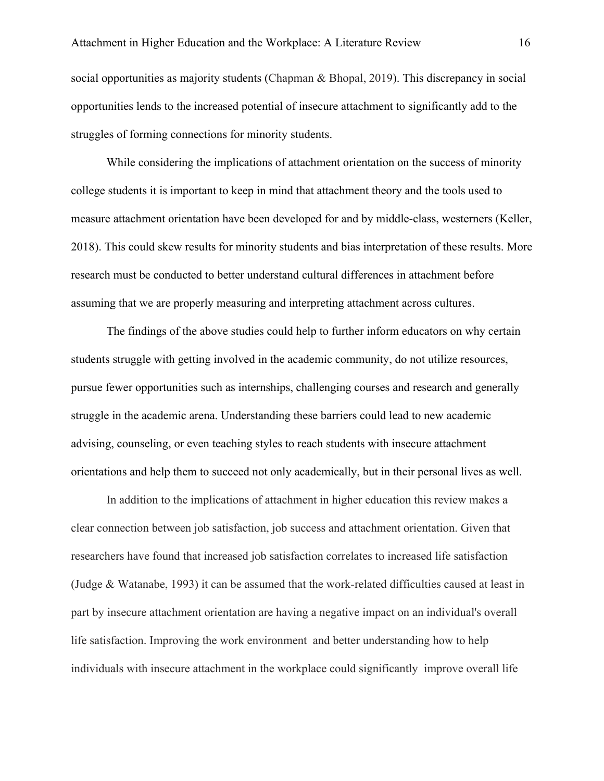social opportunities as majority students (Chapman & Bhopal, 2019). This discrepancy in social opportunities lends to the increased potential of insecure attachment to significantly add to the struggles of forming connections for minority students.

While considering the implications of attachment orientation on the success of minority college students it is important to keep in mind that attachment theory and the tools used to measure attachment orientation have been developed for and by middle-class, westerners (Keller, 2018). This could skew results for minority students and bias interpretation of these results. More research must be conducted to better understand cultural differences in attachment before assuming that we are properly measuring and interpreting attachment across cultures.

The findings of the above studies could help to further inform educators on why certain students struggle with getting involved in the academic community, do not utilize resources, pursue fewer opportunities such as internships, challenging courses and research and generally struggle in the academic arena. Understanding these barriers could lead to new academic advising, counseling, or even teaching styles to reach students with insecure attachment orientations and help them to succeed not only academically, but in their personal lives as well.

In addition to the implications of attachment in higher education this review makes a clear connection between job satisfaction, job success and attachment orientation. Given that researchers have found that increased job satisfaction correlates to increased life satisfaction (Judge & Watanabe, 1993) it can be assumed that the work-related difficulties caused at least in part by insecure attachment orientation are having a negative impact on an individual's overall life satisfaction. Improving the work environment and better understanding how to help individuals with insecure attachment in the workplace could significantly improve overall life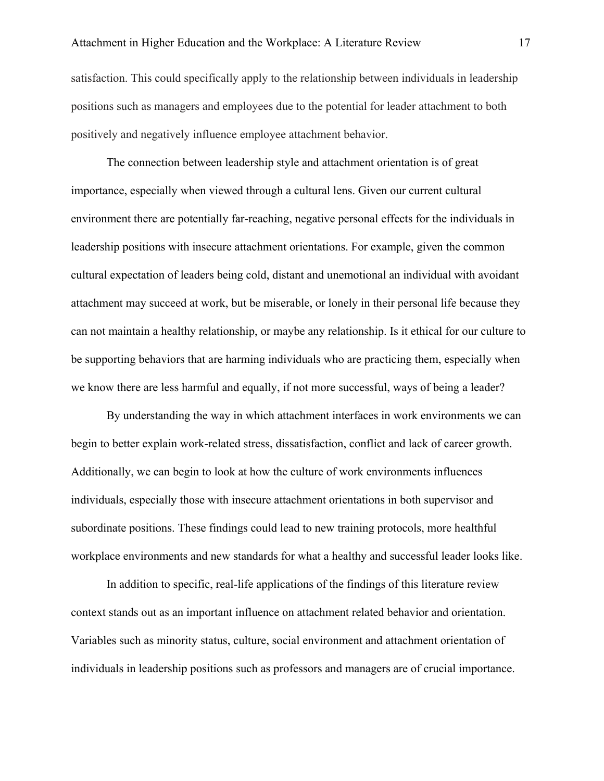satisfaction. This could specifically apply to the relationship between individuals in leadership positions such as managers and employees due to the potential for leader attachment to both positively and negatively influence employee attachment behavior.

The connection between leadership style and attachment orientation is of great importance, especially when viewed through a cultural lens. Given our current cultural environment there are potentially far-reaching, negative personal effects for the individuals in leadership positions with insecure attachment orientations. For example, given the common cultural expectation of leaders being cold, distant and unemotional an individual with avoidant attachment may succeed at work, but be miserable, or lonely in their personal life because they can not maintain a healthy relationship, or maybe any relationship. Is it ethical for our culture to be supporting behaviors that are harming individuals who are practicing them, especially when we know there are less harmful and equally, if not more successful, ways of being a leader?

By understanding the way in which attachment interfaces in work environments we can begin to better explain work-related stress, dissatisfaction, conflict and lack of career growth. Additionally, we can begin to look at how the culture of work environments influences individuals, especially those with insecure attachment orientations in both supervisor and subordinate positions. These findings could lead to new training protocols, more healthful workplace environments and new standards for what a healthy and successful leader looks like.

In addition to specific, real-life applications of the findings of this literature review context stands out as an important influence on attachment related behavior and orientation. Variables such as minority status, culture, social environment and attachment orientation of individuals in leadership positions such as professors and managers are of crucial importance.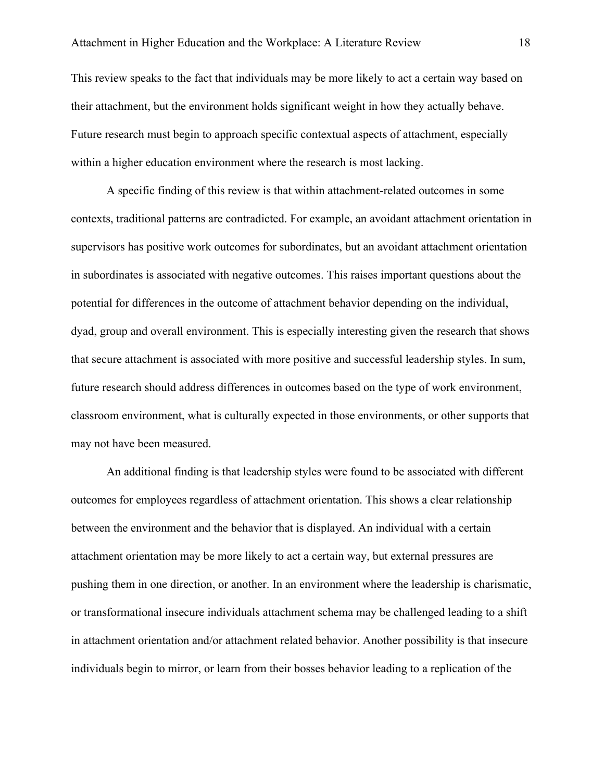This review speaks to the fact that individuals may be more likely to act a certain way based on their attachment, but the environment holds significant weight in how they actually behave. Future research must begin to approach specific contextual aspects of attachment, especially within a higher education environment where the research is most lacking.

A specific finding of this review is that within attachment-related outcomes in some contexts, traditional patterns are contradicted. For example, an avoidant attachment orientation in supervisors has positive work outcomes for subordinates, but an avoidant attachment orientation in subordinates is associated with negative outcomes. This raises important questions about the potential for differences in the outcome of attachment behavior depending on the individual, dyad, group and overall environment. This is especially interesting given the research that shows that secure attachment is associated with more positive and successful leadership styles. In sum, future research should address differences in outcomes based on the type of work environment, classroom environment, what is culturally expected in those environments, or other supports that may not have been measured.

An additional finding is that leadership styles were found to be associated with different outcomes for employees regardless of attachment orientation. This shows a clear relationship between the environment and the behavior that is displayed. An individual with a certain attachment orientation may be more likely to act a certain way, but external pressures are pushing them in one direction, or another. In an environment where the leadership is charismatic, or transformational insecure individuals attachment schema may be challenged leading to a shift in attachment orientation and/or attachment related behavior. Another possibility is that insecure individuals begin to mirror, or learn from their bosses behavior leading to a replication of the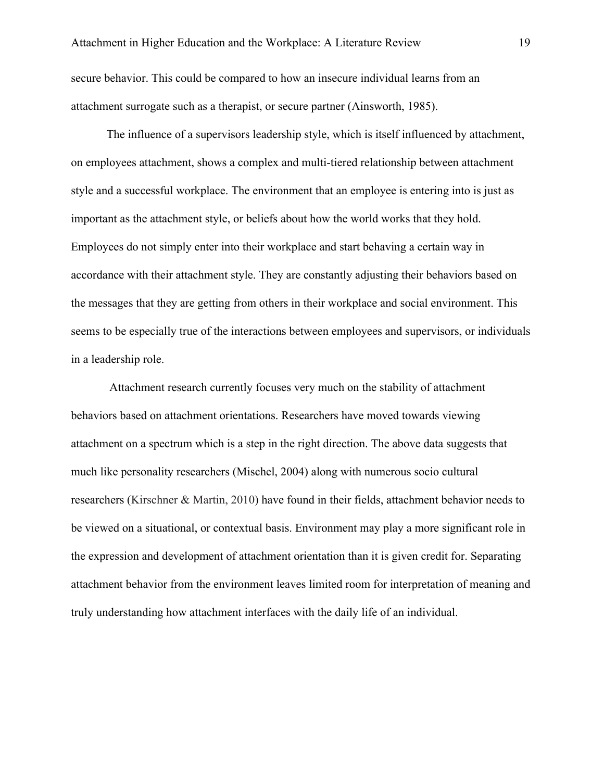secure behavior. This could be compared to how an insecure individual learns from an attachment surrogate such as a therapist, or secure partner (Ainsworth, 1985).

The influence of a supervisors leadership style, which is itself influenced by attachment, on employees attachment, shows a complex and multi-tiered relationship between attachment style and a successful workplace. The environment that an employee is entering into is just as important as the attachment style, or beliefs about how the world works that they hold. Employees do not simply enter into their workplace and start behaving a certain way in accordance with their attachment style. They are constantly adjusting their behaviors based on the messages that they are getting from others in their workplace and social environment. This seems to be especially true of the interactions between employees and supervisors, or individuals in a leadership role.

 Attachment research currently focuses very much on the stability of attachment behaviors based on attachment orientations. Researchers have moved towards viewing attachment on a spectrum which is a step in the right direction. The above data suggests that much like personality researchers (Mischel, 2004) along with numerous socio cultural researchers (Kirschner & Martin, 2010) have found in their fields, attachment behavior needs to be viewed on a situational, or contextual basis. Environment may play a more significant role in the expression and development of attachment orientation than it is given credit for. Separating attachment behavior from the environment leaves limited room for interpretation of meaning and truly understanding how attachment interfaces with the daily life of an individual.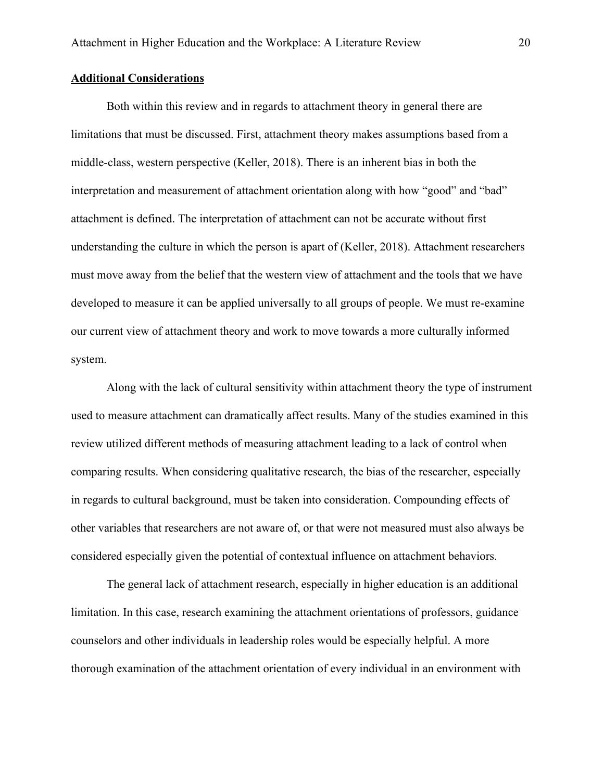## **Additional Considerations**

Both within this review and in regards to attachment theory in general there are limitations that must be discussed. First, attachment theory makes assumptions based from a middle-class, western perspective (Keller, 2018). There is an inherent bias in both the interpretation and measurement of attachment orientation along with how "good" and "bad" attachment is defined. The interpretation of attachment can not be accurate without first understanding the culture in which the person is apart of (Keller, 2018). Attachment researchers must move away from the belief that the western view of attachment and the tools that we have developed to measure it can be applied universally to all groups of people. We must re-examine our current view of attachment theory and work to move towards a more culturally informed system.

Along with the lack of cultural sensitivity within attachment theory the type of instrument used to measure attachment can dramatically affect results. Many of the studies examined in this review utilized different methods of measuring attachment leading to a lack of control when comparing results. When considering qualitative research, the bias of the researcher, especially in regards to cultural background, must be taken into consideration. Compounding effects of other variables that researchers are not aware of, or that were not measured must also always be considered especially given the potential of contextual influence on attachment behaviors.

The general lack of attachment research, especially in higher education is an additional limitation. In this case, research examining the attachment orientations of professors, guidance counselors and other individuals in leadership roles would be especially helpful. A more thorough examination of the attachment orientation of every individual in an environment with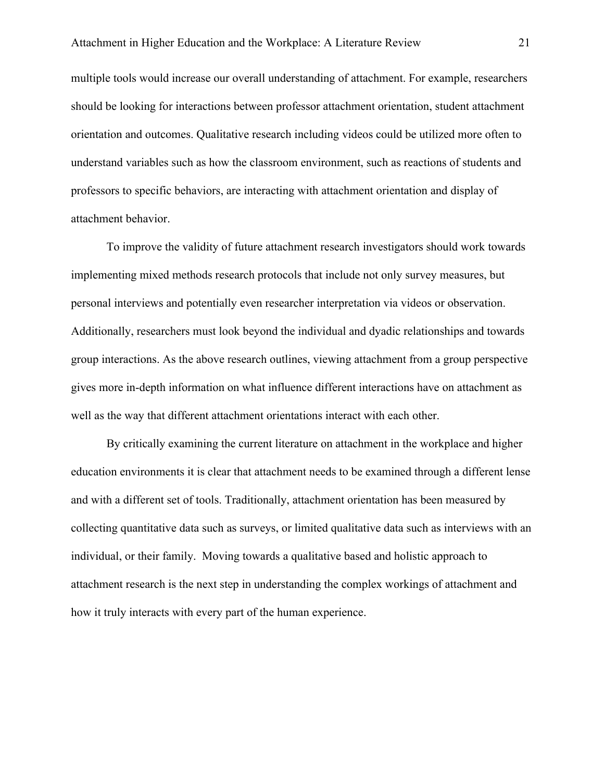multiple tools would increase our overall understanding of attachment. For example, researchers should be looking for interactions between professor attachment orientation, student attachment orientation and outcomes. Qualitative research including videos could be utilized more often to understand variables such as how the classroom environment, such as reactions of students and professors to specific behaviors, are interacting with attachment orientation and display of attachment behavior.

To improve the validity of future attachment research investigators should work towards implementing mixed methods research protocols that include not only survey measures, but personal interviews and potentially even researcher interpretation via videos or observation. Additionally, researchers must look beyond the individual and dyadic relationships and towards group interactions. As the above research outlines, viewing attachment from a group perspective gives more in-depth information on what influence different interactions have on attachment as well as the way that different attachment orientations interact with each other.

By critically examining the current literature on attachment in the workplace and higher education environments it is clear that attachment needs to be examined through a different lense and with a different set of tools. Traditionally, attachment orientation has been measured by collecting quantitative data such as surveys, or limited qualitative data such as interviews with an individual, or their family. Moving towards a qualitative based and holistic approach to attachment research is the next step in understanding the complex workings of attachment and how it truly interacts with every part of the human experience.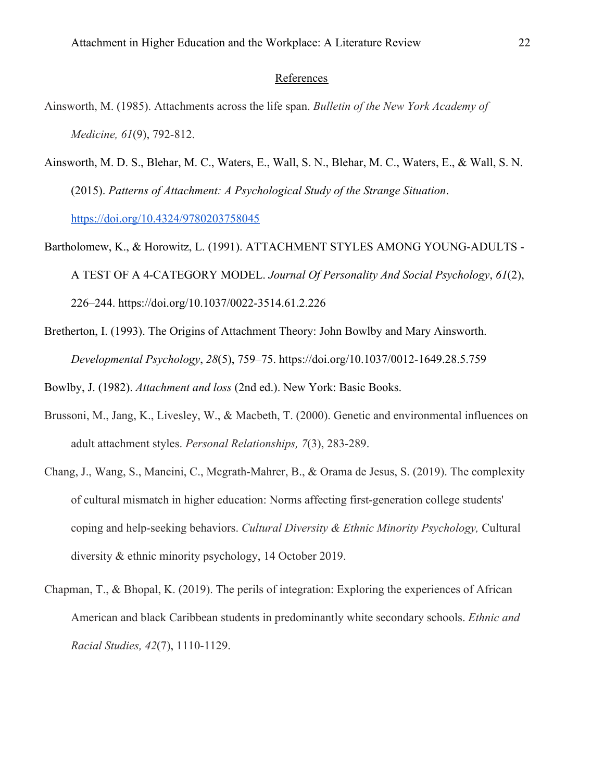# References

- Ainsworth, M. (1985). Attachments across the life span. *Bulletin of the New York Academy of Medicine, 61*(9), 792-812.
- Ainsworth, M. D. S., Blehar, M. C., Waters, E., Wall, S. N., Blehar, M. C., Waters, E., & Wall, S. N. (2015). *Patterns of Attachment: A Psychological Study of the Strange Situation*. <https://doi.org/10.4324/9780203758045>
- Bartholomew, K., & Horowitz, L. (1991). ATTACHMENT STYLES AMONG YOUNG-ADULTS A TEST OF A 4-CATEGORY MODEL. *Journal Of Personality And Social Psychology*, *61*(2), 226–244. https://doi.org/10.1037/0022-3514.61.2.226
- Bretherton, I. (1993). The Origins of Attachment Theory: John Bowlby and Mary Ainsworth. *Developmental Psychology*, *28*(5), 759–75. https://doi.org/10.1037/0012-1649.28.5.759
- Bowlby, J. (1982). *Attachment and loss* (2nd ed.). New York: Basic Books.
- Brussoni, M., Jang, K., Livesley, W., & Macbeth, T. (2000). Genetic and environmental influences on adult attachment styles. *Personal Relationships, 7*(3), 283-289.
- Chang, J., Wang, S., Mancini, C., Mcgrath-Mahrer, B., & Orama de Jesus, S. (2019). The complexity of cultural mismatch in higher education: Norms affecting first-generation college students' coping and help-seeking behaviors. *Cultural Diversity & Ethnic Minority Psychology,* Cultural diversity & ethnic minority psychology, 14 October 2019.
- Chapman, T., & Bhopal, K. (2019). The perils of integration: Exploring the experiences of African American and black Caribbean students in predominantly white secondary schools. *Ethnic and Racial Studies, 42*(7), 1110-1129.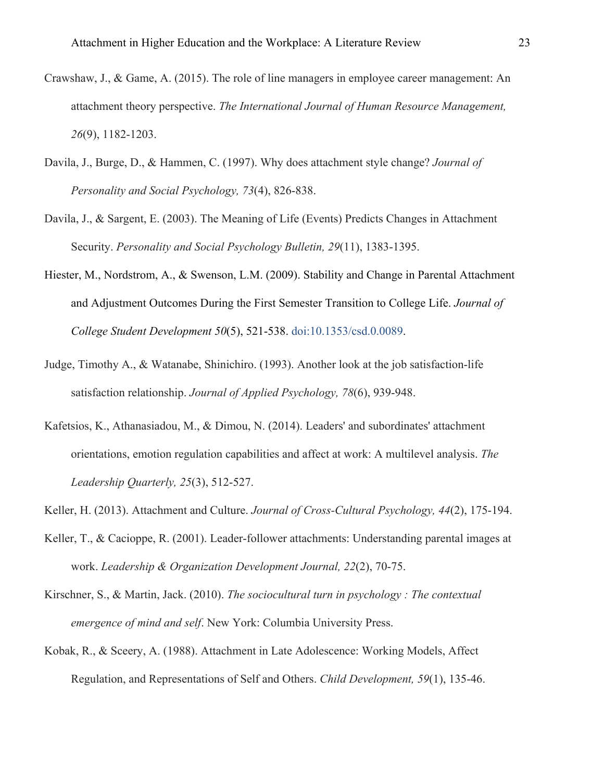- Crawshaw, J., & Game, A. (2015). The role of line managers in employee career management: An attachment theory perspective. *The International Journal of Human Resource Management, 26*(9), 1182-1203.
- Davila, J., Burge, D., & Hammen, C. (1997). Why does attachment style change? *Journal of Personality and Social Psychology, 73*(4), 826-838.
- Davila, J., & Sargent, E. (2003). The Meaning of Life (Events) Predicts Changes in Attachment Security. *Personality and Social Psychology Bulletin, 29*(11), 1383-1395.
- Hiester, M., Nordstrom, A., & Swenson, L.M. (2009). Stability and Change in Parental Attachment and Adjustment Outcomes During the First Semester Transition to College Life. *Journal of College Student Development 50*(5), 521-538. [doi:10.1353/csd.0.0089.](http://doi.org/10.1353/csd.0.0089)
- Judge, Timothy A., & Watanabe, Shinichiro. (1993). Another look at the job satisfaction-life satisfaction relationship. *Journal of Applied Psychology, 78*(6), 939-948.
- Kafetsios, K., Athanasiadou, M., & Dimou, N. (2014). Leaders' and subordinates' attachment orientations, emotion regulation capabilities and affect at work: A multilevel analysis. *The Leadership Quarterly, 25*(3), 512-527.
- Keller, H. (2013). Attachment and Culture. *Journal of Cross-Cultural Psychology, 44*(2), 175-194.
- Keller, T., & Cacioppe, R. (2001). Leader-follower attachments: Understanding parental images at work. *Leadership & Organization Development Journal, 22*(2), 70-75.
- Kirschner, S., & Martin, Jack. (2010). *The sociocultural turn in psychology : The contextual emergence of mind and self*. New York: Columbia University Press.
- Kobak, R., & Sceery, A. (1988). Attachment in Late Adolescence: Working Models, Affect Regulation, and Representations of Self and Others. *Child Development, 59*(1), 135-46.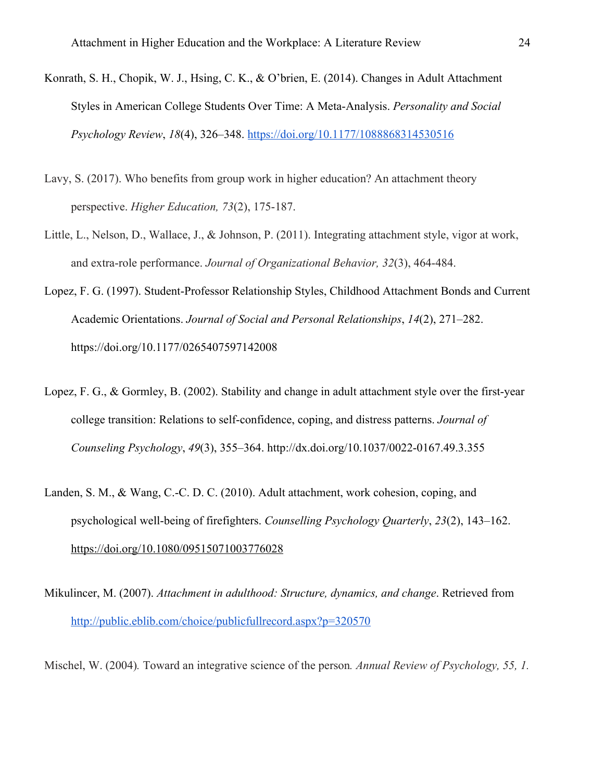- Konrath, S. H., Chopik, W. J., Hsing, C. K., & O'brien, E. (2014). Changes in Adult Attachment Styles in American College Students Over Time: A Meta-Analysis. *Personality and Social Psychology Review*, *18*(4), 326–348. <https://doi.org/10.1177/1088868314530516>
- Lavy, S. (2017). Who benefits from group work in higher education? An attachment theory perspective. *Higher Education, 73*(2), 175-187.
- Little, L., Nelson, D., Wallace, J., & Johnson, P. (2011). Integrating attachment style, vigor at work, and extra-role performance. *Journal of Organizational Behavior, 32*(3), 464-484.
- Lopez, F. G. (1997). Student-Professor Relationship Styles, Childhood Attachment Bonds and Current Academic Orientations. *Journal of Social and Personal Relationships*, *14*(2), 271–282. https://doi.org/10.1177/0265407597142008
- Lopez, F. G., & Gormley, B. (2002). Stability and change in adult attachment style over the first-year college transition: Relations to self-confidence, coping, and distress patterns. *Journal of Counseling Psychology*, *49*(3), 355–364. http://dx.doi.org/10.1037/0022-0167.49.3.355
- Landen, S. M., & Wang, C.-C. D. C. (2010). Adult attachment, work cohesion, coping, and psychological well-being of firefighters. *Counselling Psychology Quarterly*, *23*(2), 143–162. <https://doi.org/10.1080/09515071003776028>
- Mikulincer, M. (2007). *Attachment in adulthood: Structure, dynamics, and change*. Retrieved from <http://public.eblib.com/choice/publicfullrecord.aspx?p=320570>
- Mischel, W. (2004)*.* Toward an integrative science of the person*. Annual Review of Psychology, 55, 1.*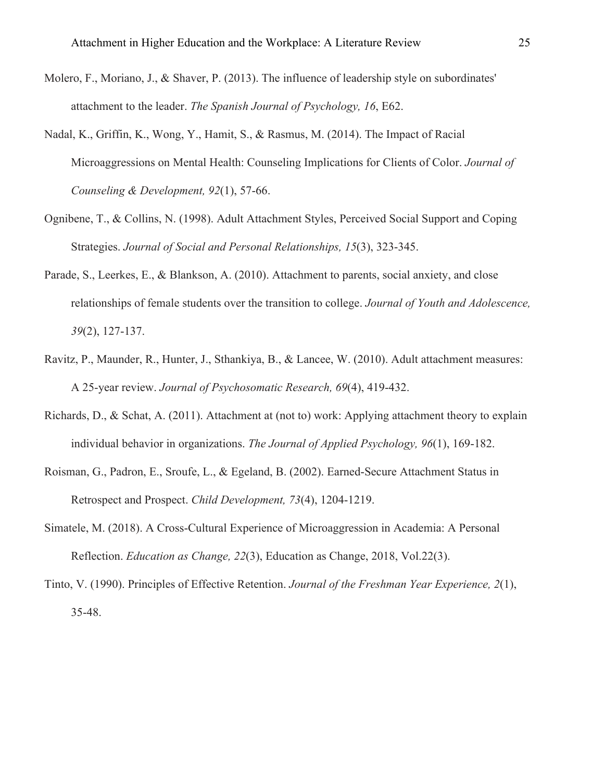- Molero, F., Moriano, J., & Shaver, P. (2013). The influence of leadership style on subordinates' attachment to the leader. *The Spanish Journal of Psychology, 16*, E62.
- Nadal, K., Griffin, K., Wong, Y., Hamit, S., & Rasmus, M. (2014). The Impact of Racial Microaggressions on Mental Health: Counseling Implications for Clients of Color. *Journal of Counseling & Development, 92*(1), 57-66.
- Ognibene, T., & Collins, N. (1998). Adult Attachment Styles, Perceived Social Support and Coping Strategies. *Journal of Social and Personal Relationships, 15*(3), 323-345.
- Parade, S., Leerkes, E., & Blankson, A. (2010). Attachment to parents, social anxiety, and close relationships of female students over the transition to college. *Journal of Youth and Adolescence, 39*(2), 127-137.
- Ravitz, P., Maunder, R., Hunter, J., Sthankiya, B., & Lancee, W. (2010). Adult attachment measures: A 25-year review. *Journal of Psychosomatic Research, 69*(4), 419-432.
- Richards, D., & Schat, A. (2011). Attachment at (not to) work: Applying attachment theory to explain individual behavior in organizations. *The Journal of Applied Psychology, 96*(1), 169-182.
- Roisman, G., Padron, E., Sroufe, L., & Egeland, B. (2002). Earned-Secure Attachment Status in Retrospect and Prospect. *Child Development, 73*(4), 1204-1219.
- Simatele, M. (2018). A Cross-Cultural Experience of Microaggression in Academia: A Personal Reflection. *Education as Change, 22*(3), Education as Change, 2018, Vol.22(3).
- Tinto, V. (1990). Principles of Effective Retention. *Journal of the Freshman Year Experience, 2*(1), 35-48.